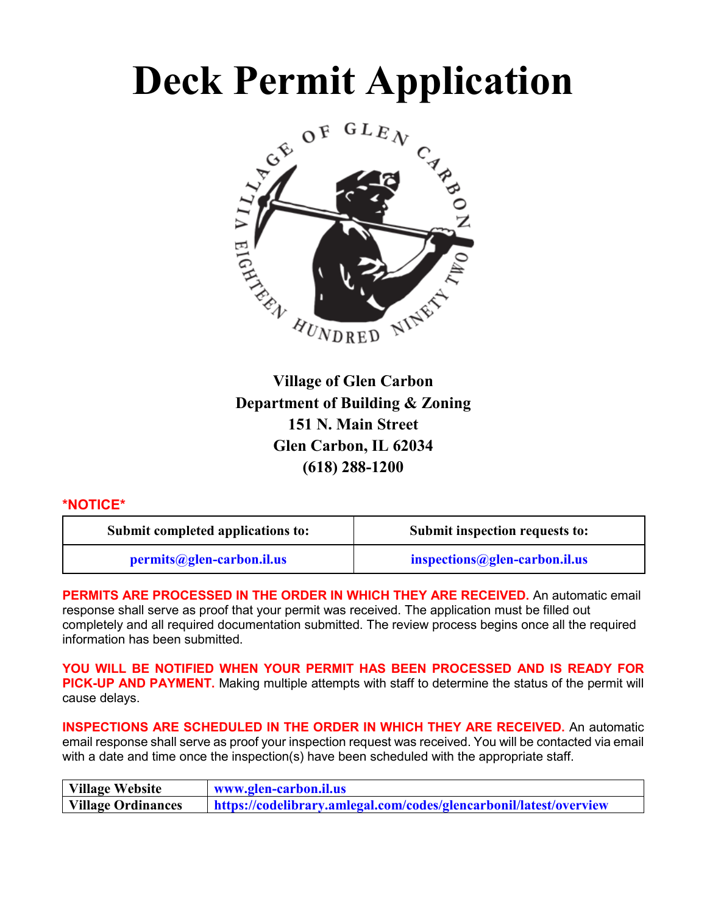# **Deck Permit Application**



**Village of Glen Carbon Department of Building & Zoning 151 N. Main Street Glen Carbon, IL 62034 (618) 288-1200**

#### **\*NOTICE\***

| Submit completed applications to: | Submit inspection requests to: |  |
|-----------------------------------|--------------------------------|--|
| permits@glen-carbon.il.us         | $inspections@glen-carbon.$     |  |

**PERMITS ARE PROCESSED IN THE ORDER IN WHICH THEY ARE RECEIVED.** An automatic email response shall serve as proof that your permit was received. The application must be filled out completely and all required documentation submitted. The review process begins once all the required information has been submitted.

**YOU WILL BE NOTIFIED WHEN YOUR PERMIT HAS BEEN PROCESSED AND IS READY FOR PICK-UP AND PAYMENT.** Making multiple attempts with staff to determine the status of the permit will cause delays.

**INSPECTIONS ARE SCHEDULED IN THE ORDER IN WHICH THEY ARE RECEIVED.** An automatic email response shall serve as proof your inspection request was received. You will be contacted via email with a date and time once the inspection(s) have been scheduled with the appropriate staff.

| Village Website           | www.glen-carbon.il.us                                              |  |
|---------------------------|--------------------------------------------------------------------|--|
| <b>Village Ordinances</b> | https://codelibrary.amlegal.com/codes/glencarbonil/latest/overview |  |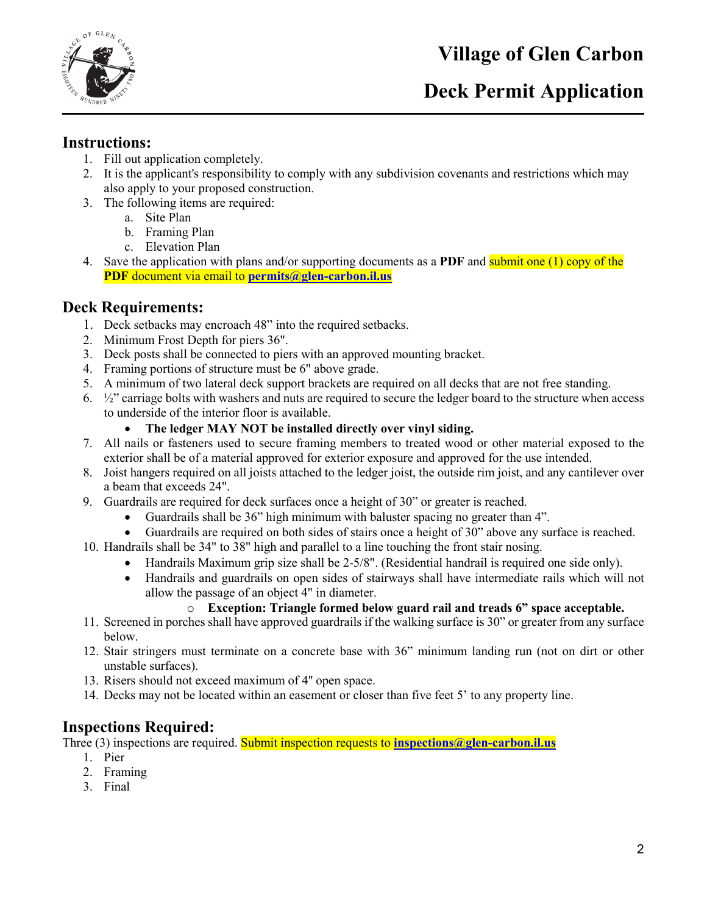

## **Deck Permit Application**

#### **Instructions:**

- 1. Fill out application completely.
- 2. It is the applicant's responsibility to comply with any subdivision covenants and restrictions which may also apply to your proposed construction.
- 3. The following items are required:
	- a. Site Plan
	- b. Framing Plan
	- c. Elevation Plan
- 4. Save the application with plans and/or supporting documents as a **PDF** and submit one (1) copy of the **PDF** document via email to **[permits@glen-carbon.il.us](mailto:permits@glen-carbon.il.us)**

#### **Deck Requirements:**

- 1. Deck setbacks may encroach 48" into the required setbacks.
- 2. Minimum Frost Depth for piers 36".
- 3. Deck posts shall be connected to piers with an approved mounting bracket.
- 4. Framing portions of structure must be 6" above grade.
- 5. A minimum of two lateral deck support brackets are required on all decks that are not free standing.
- 6. ½" carriage bolts with washers and nuts are required to secure the ledger board to the structure when access to underside of the interior floor is available.
	- **The ledger MAY NOT be installed directly over vinyl siding.**
- 7. All nails or fasteners used to secure framing members to treated wood or other material exposed to the exterior shall be of a material approved for exterior exposure and approved for the use intended.
- 8. Joist hangers required on all joists attached to the ledger joist, the outside rim joist, and any cantilever over a beam that exceeds 24".
- 9. Guardrails are required for deck surfaces once a height of 30" or greater is reached.
	- Guardrails shall be 36" high minimum with baluster spacing no greater than 4".
	- Guardrails are required on both sides of stairs once a height of 30" above any surface is reached.
- 10. Handrails shall be 34" to 38" high and parallel to a line touching the front stair nosing.
	- Handrails Maximum grip size shall be 2-5/8". (Residential handrail is required one side only).
	- Handrails and guardrails on open sides of stairways shall have intermediate rails which will not allow the passage of an object 4" in diameter.

#### o **Exception: Triangle formed below guard rail and treads 6" space acceptable.**

- 11. Screened in porches shall have approved guardrails if the walking surface is 30" or greater from any surface below.
- 12. Stair stringers must terminate on a concrete base with 36" minimum landing run (not on dirt or other unstable surfaces).
- 13. Risers should not exceed maximum of 4'' open space.
- 14. Decks may not be located within an easement or closer than five feet 5' to any property line.

#### **Inspections Required:**

Three (3) inspections are required. Submit inspection requests to **[inspections@glen-carbon.il.us](mailto:inspections@glen-carbon.il.us)**

- 1. Pier
- 2. Framing
- 3. Final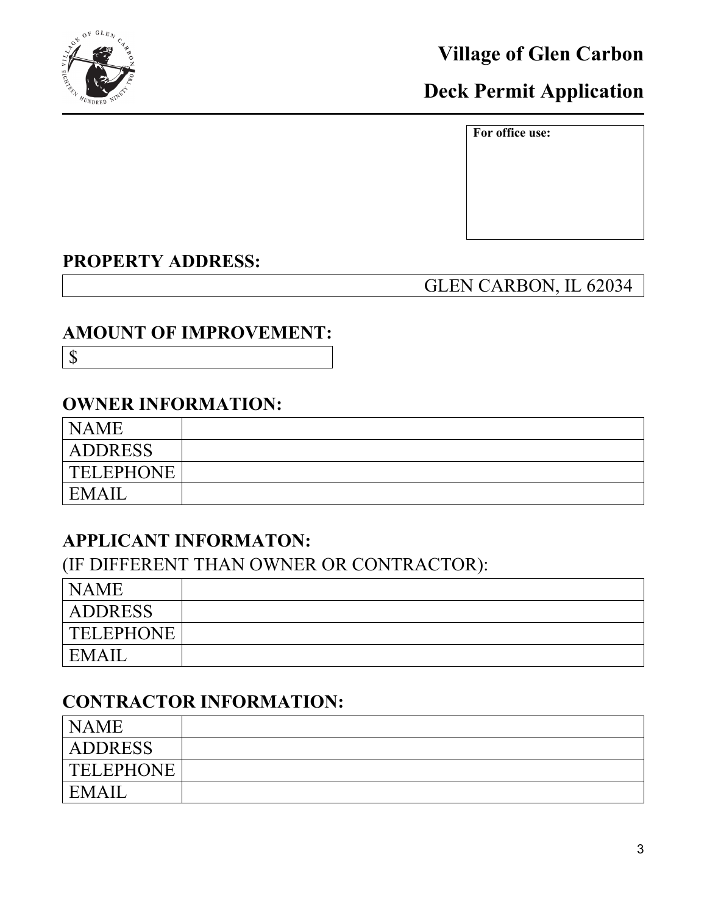

# **Deck Permit Application**

**For office use:**

## **PROPERTY ADDRESS:**

## GLEN CARBON, IL 62034

## **AMOUNT OF IMPROVEMENT:**

\$

## **OWNER INFORMATION:**

| <b>NAME</b>      |  |
|------------------|--|
| <b>ADDRESS</b>   |  |
| <b>TELEPHONE</b> |  |
| EMAIL            |  |

## **APPLICANT INFORMATON:**

(IF DIFFERENT THAN OWNER OR CONTRACTOR):

| <b>NAME</b>      |  |
|------------------|--|
| <b>ADDRESS</b>   |  |
| <b>TELEPHONE</b> |  |
| <b>EMAIL</b>     |  |

## **CONTRACTOR INFORMATION:**

| <b>NAME</b>      |  |
|------------------|--|
| <b>ADDRESS</b>   |  |
| <b>TELEPHONE</b> |  |
| EMAII            |  |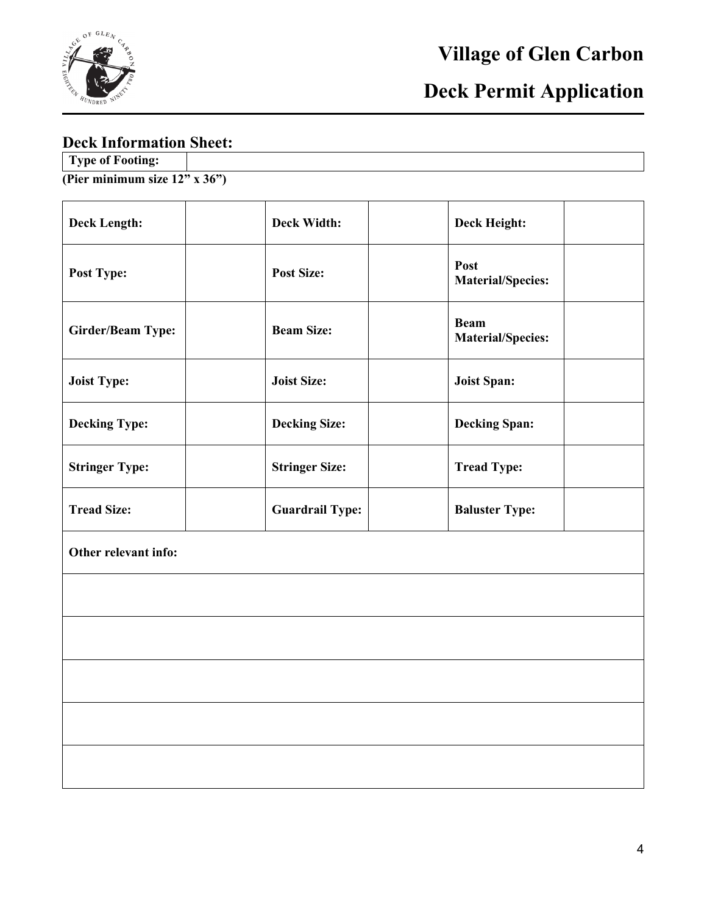

# **Deck Permit Application**

## **Deck Information Sheet:**

| Type of Footing:                   |  |
|------------------------------------|--|
| (Pier minimum size $12"$ x $36"$ ) |  |

| <b>Deck Length:</b>      | <b>Deck Width:</b>     | <b>Deck Height:</b>                     |  |
|--------------------------|------------------------|-----------------------------------------|--|
| Post Type:               | <b>Post Size:</b>      | Post<br><b>Material/Species:</b>        |  |
| <b>Girder/Beam Type:</b> | <b>Beam Size:</b>      | <b>Beam</b><br><b>Material/Species:</b> |  |
| <b>Joist Type:</b>       | <b>Joist Size:</b>     | <b>Joist Span:</b>                      |  |
| <b>Decking Type:</b>     | <b>Decking Size:</b>   | <b>Decking Span:</b>                    |  |
| <b>Stringer Type:</b>    | <b>Stringer Size:</b>  | <b>Tread Type:</b>                      |  |
| <b>Tread Size:</b>       | <b>Guardrail Type:</b> | <b>Baluster Type:</b>                   |  |
| Other relevant info:     |                        |                                         |  |
|                          |                        |                                         |  |
|                          |                        |                                         |  |
|                          |                        |                                         |  |
|                          |                        |                                         |  |
|                          |                        |                                         |  |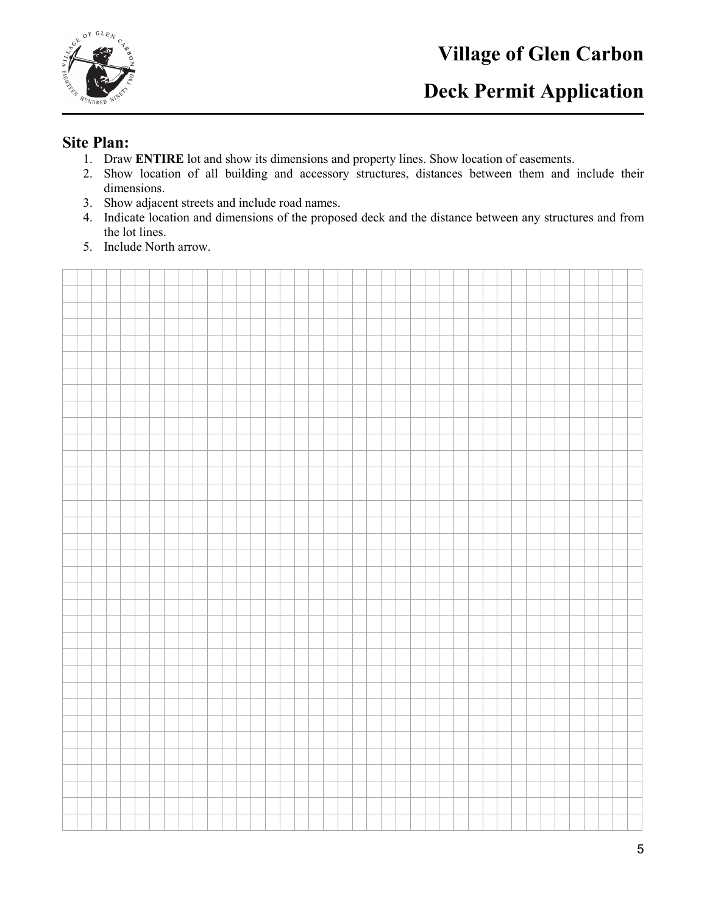

## **Deck Permit Application**

#### **Site Plan:**

- 1. Draw **ENTIRE** lot and show its dimensions and property lines. Show location of easements.
- 2. Show location of all building and accessory structures, distances between them and include their dimensions.
- 3. Show adjacent streets and include road names.
- 4. Indicate location and dimensions of the proposed deck and the distance between any structures and from the lot lines.
- 5. Include North arrow.

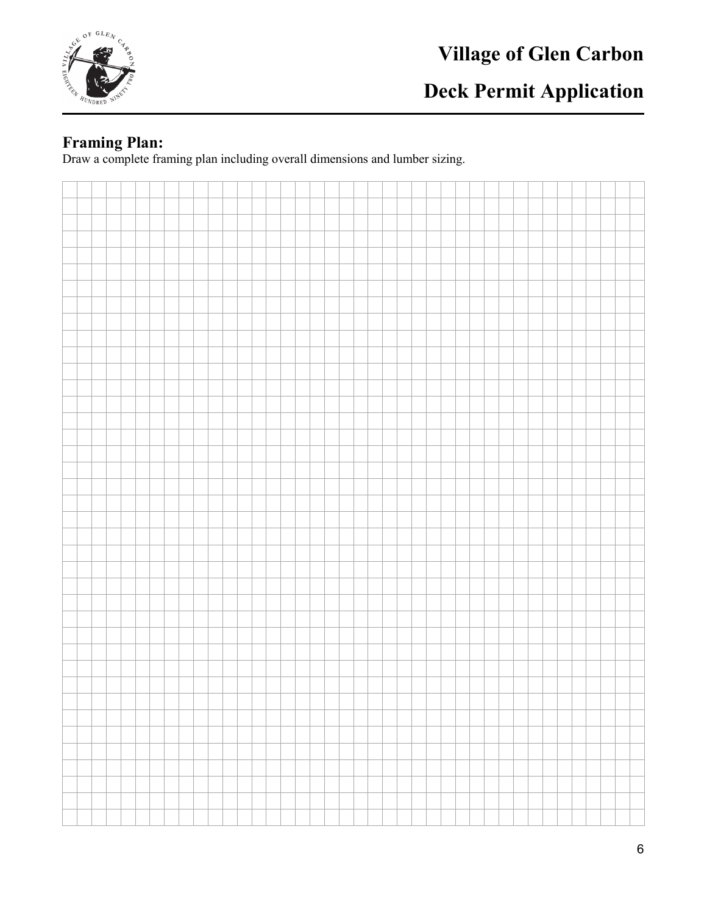

# **Deck Permit Application**

#### **Framing Plan:**

Draw a complete framing plan including overall dimensions and lumber sizing.

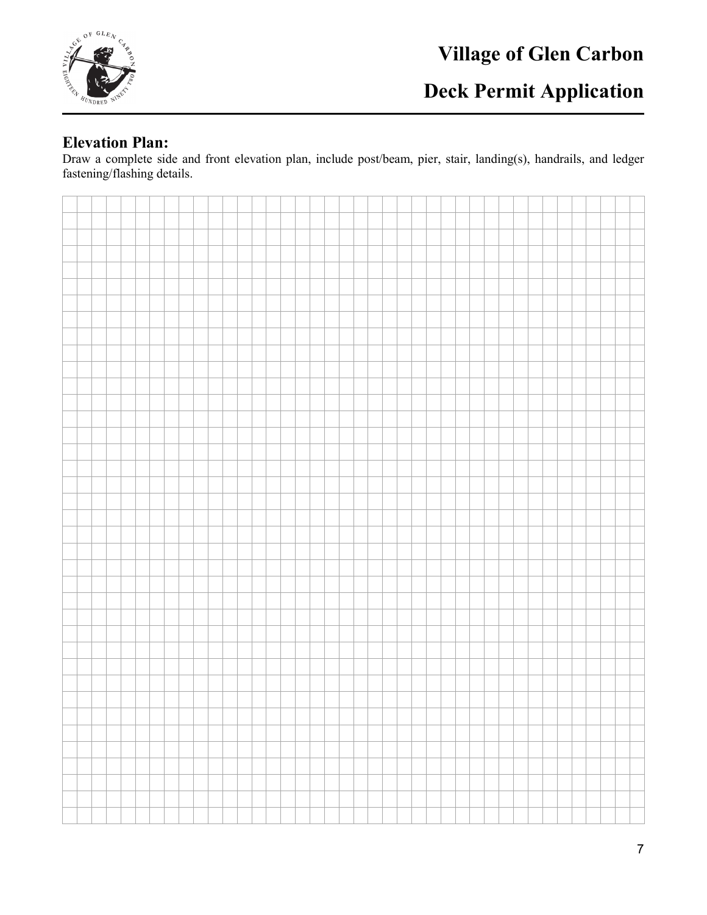

# **Deck Permit Application**

#### **Elevation Plan:**

Draw a complete side and front elevation plan, include post/beam, pier, stair, landing(s), handrails, and ledger fastening/flashing details.

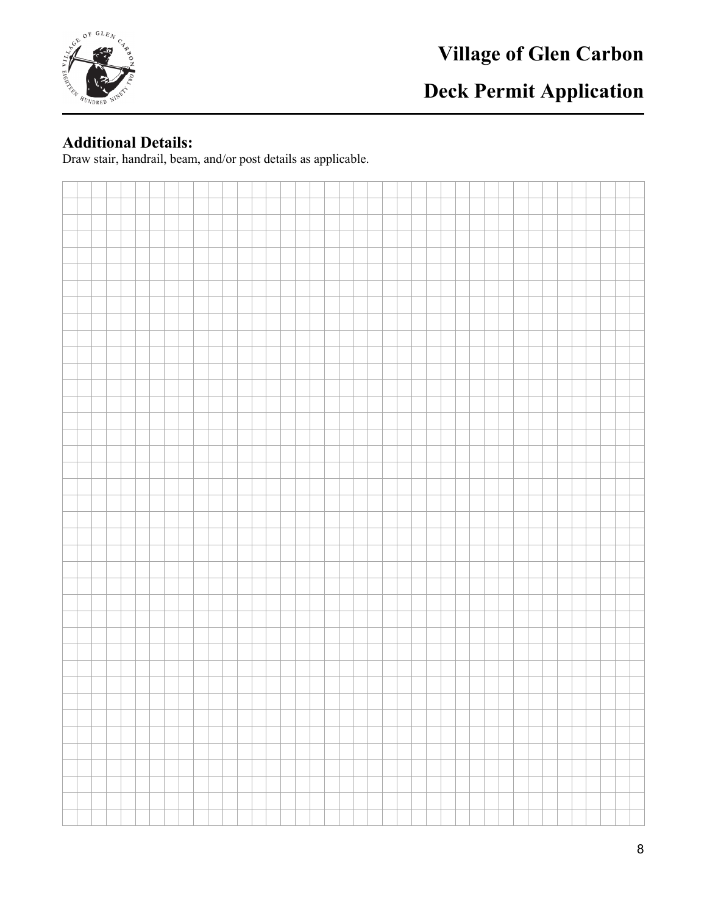

# **Deck Permit Application**

### **Additional Details:**

Draw stair, handrail, beam, and/or post details as applicable.